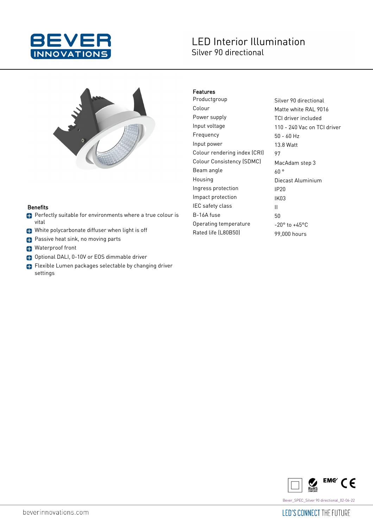

# **LED Interior Illumination** Silver 90 directional



#### **Benefits**

- **Perfectly suitable for environments where a true colour is** vital
- White polycarbonate diffuser when light is off
- **Passive heat sink, no moving parts**
- **B** Waterproof front
- Optional DALI, 0-10V or EOS dimmable driver
- Flexible Lumen packages selectable by changing driver settings

### Features

Productgroup Silver 90 directional Colour Matte white RAL 9016 Power supply TCI driver included Input voltage 110 - 240 Vac on TCI driver Frequency 50 - 60 Hz Input power 13.8 Watt Colour rendering index (CRI) 97 Colour Consistency (SDMC) MacAdam step 3 Beam angle  $60^\circ$ Housing **Diecast Aluminium** Ingress protection IP20 Impact protection IK03 IEC safety class II B-16A fuse 50 Operating temperature  $-20^\circ$  to  $+45^\circ$ C Rated life (L80B50) 99,000 hours



beverinnovations.com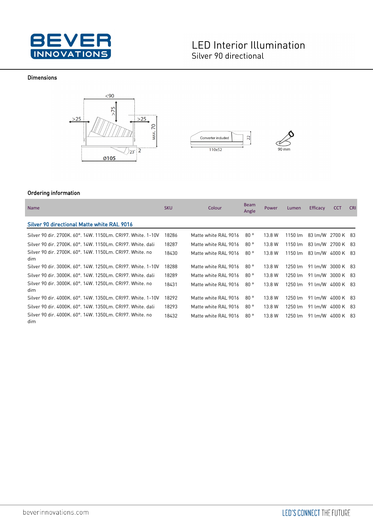

## **LED Interior Illumination** Silver 90 directional

#### Dimensions







### Ordering information

| <b>Name</b>                                                     | <b>SKU</b> | Colour               | <b>Beam</b><br>Angle | <b>Power</b> | Lumen   | Efficacy          | <b>CCT</b> | <b>CRI</b> |
|-----------------------------------------------------------------|------------|----------------------|----------------------|--------------|---------|-------------------|------------|------------|
| Silver 90 directional Matte white RAL 9016                      |            |                      |                      |              |         |                   |            |            |
| Silver 90 dir. 2700K. 60°. 14W. 1150Lm. CRI97. White. 1-10V     | 18286      | Matte white RAL 9016 | 80°                  | 13.8 W       | 1150 lm | 83 lm/W 2700 K 83 |            |            |
| Silver 90 dir. 2700K, 60°, 14W, 1150Lm, CRI97, White, dali      | 18287      | Matte white RAL 9016 | 80°                  | 13.8 W       | 1150 lm | 83 lm/W           | 2700 K 83  |            |
| Silver 90 dir. 2700K, 60°, 14W, 1150Lm, CRI97, White, no<br>dim | 18430      | Matte white RAL 9016 | 80°                  | 13.8 W       | 1150 lm | 83 lm/W 4000 K 83 |            |            |
| Silver 90 dir. 3000K, 60°, 14W, 1250Lm, CRI97, White, 1-10V     | 18288      | Matte white RAL 9016 | 80°                  | 13.8 W       | 1250 lm | 91 lm/W 3000 K 83 |            |            |
| Silver 90 dir. 3000K. 60°. 14W. 1250Lm. CRI97. White. dali      | 18289      | Matte white RAL 9016 | 80°                  | 13.8 W       | 1250 lm | 91 lm/W 3000 K 83 |            |            |
| Silver 90 dir. 3000K, 60°, 14W, 1250Lm, CRI97, White, no<br>dim | 18431      | Matte white RAL 9016 | 80°                  | 13.8 W       | 1250 lm | 91 lm/W 4000 K 83 |            |            |
| Silver 90 dir. 4000K, 60°, 14W, 1350Lm, CRI97, White, 1-10V     | 18292      | Matte white RAL 9016 | 80°                  | 13.8 W       | 1250 lm | 91 lm/W           | 4000 K 83  |            |
| Silver 90 dir. 4000K, 60°, 14W, 1350Lm, CRI97, White, dali      | 18293      | Matte white RAL 9016 | 80°                  | 13.8 W       | 1250 lm | 91 lm/W           | 4000 K 83  |            |
| Silver 90 dir. 4000K, 60°, 14W, 1350Lm, CRI97, White, no<br>dim | 18432      | Matte white RAL 9016 | 80°                  | 13.8 W       | 1250 lm | 91 lm/W 4000 K 83 |            |            |